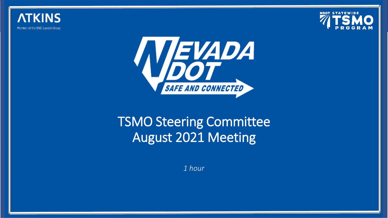





### TSMO Steering Committee August 2021 Meeting

*1 hour*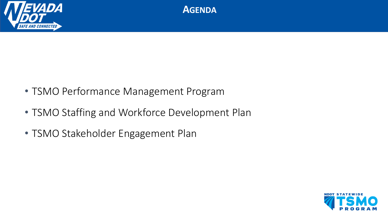



- TSMO Performance Management Program
- TSMO Staffing and Workforce Development Plan
- TSMO Stakeholder Engagement Plan

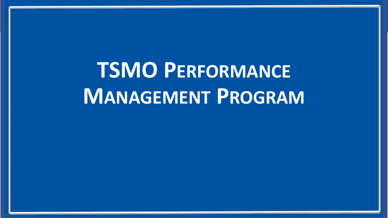**TSMO PERFORMANCE MANAGEMENT PROGRAM**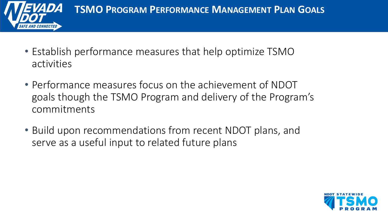

- Establish performance measures that help optimize TSMO activities
- Performance measures focus on the achievement of NDOT goals though the TSMO Program and delivery of the Program's commitments
- Build upon recommendations from recent NDOT plans, and serve as a useful input to related future plans

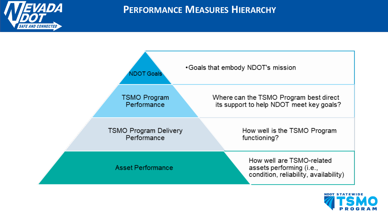

#### **PERFORMANCE MEASURES HIERARCHY**



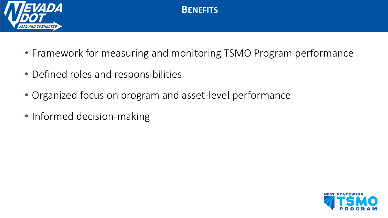

**BENEFITS**

- Framework for measuring and monitoring TSMO Program performance
- Defined roles and responsibilities
- Organized focus on program and asset-level performance
- Informed decision-making

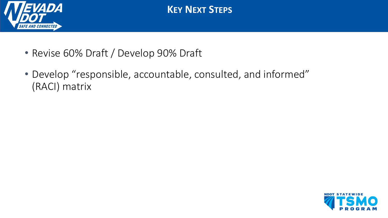

**KEY NEXT STEPS**

- Revise 60% Draft / Develop 90% Draft
- Develop "responsible, accountable, consulted, and informed" (RACI) matrix

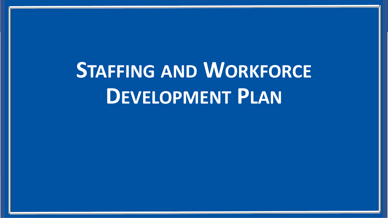# **STAFFING AND WORKFORCE DEVELOPMENT PLAN**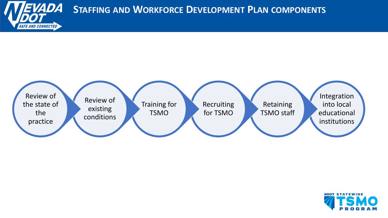

#### **STAFFING AND WORKFORCE DEVELOPMENT PLAN COMPONENTS**



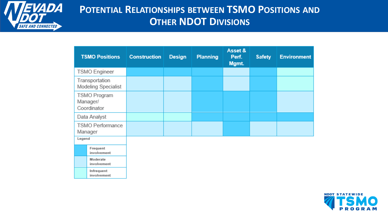

#### POTENTIAL RELATIONSHIPS BETWEEN TSMO POSITIONS AND **OTHER NDOT DIVISIONS**

| <b>TSMO Positions</b>                   | <b>Construction</b> | <b>Design</b> | <b>Planning</b> | Asset &<br>Perf.<br>Mgmt. | <b>Safety</b> | <b>Environment</b> |
|-----------------------------------------|---------------------|---------------|-----------------|---------------------------|---------------|--------------------|
| <b>TSMO</b> Engineer                    |                     |               |                 |                           |               |                    |
| Transportation<br>Modeling Specialist   |                     |               |                 |                           |               |                    |
| TSMO Program<br>Manager/<br>Coordinator |                     |               |                 |                           |               |                    |
| Data Analyst                            |                     |               |                 |                           |               |                    |
| <b>TSMO Performance</b><br>Manager      |                     |               |                 |                           |               |                    |
| Legend                                  |                     |               |                 |                           |               |                    |
| Frequent<br>involvement                 |                     |               |                 |                           |               |                    |
| Moderate<br>involvement                 |                     |               |                 |                           |               |                    |
| Infrequent<br>involvement               |                     |               |                 |                           |               |                    |

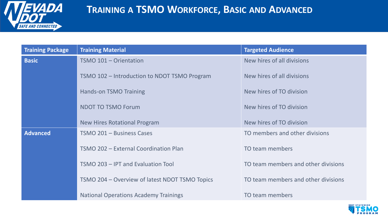

#### **TRAINING A TSMO WORKFORCE, BASIC AND ADVANCED**

| <b>Training Package</b> | <b>Training Material</b>                       | <b>Targeted Audience</b>            |  |
|-------------------------|------------------------------------------------|-------------------------------------|--|
| <b>Basic</b>            | TSMO 101 - Orientation                         | New hires of all divisions          |  |
|                         | TSMO 102 - Introduction to NDOT TSMO Program   | New hires of all divisions          |  |
|                         | <b>Hands-on TSMO Training</b>                  | New hires of TO division            |  |
|                         | <b>NDOT TO TSMO Forum</b>                      | New hires of TO division            |  |
|                         | <b>New Hires Rotational Program</b>            | New hires of TO division            |  |
| <b>Advanced</b>         | TSMO 201 - Business Cases                      | TO members and other divisions      |  |
|                         | TSMO 202 - External Coordination Plan          | TO team members                     |  |
|                         | TSMO 203 - IPT and Evaluation Tool             | TO team members and other divisions |  |
|                         | TSMO 204 – Overview of latest NDOT TSMO Topics | TO team members and other divisions |  |
|                         | <b>National Operations Academy Trainings</b>   | TO team members                     |  |

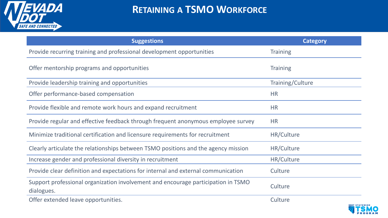

#### **RETAINING A TSMO WORKFORCE**

| <b>Suggestions</b>                                                                              | <b>Category</b>   |
|-------------------------------------------------------------------------------------------------|-------------------|
| Provide recurring training and professional development opportunities                           | <b>Training</b>   |
| Offer mentorship programs and opportunities                                                     | <b>Training</b>   |
| Provide leadership training and opportunities                                                   | Training/Culture  |
| Offer performance-based compensation                                                            | <b>HR</b>         |
| Provide flexible and remote work hours and expand recruitment                                   | <b>HR</b>         |
| Provide regular and effective feedback through frequent anonymous employee survey               | <b>HR</b>         |
| Minimize traditional certification and licensure requirements for recruitment                   | <b>HR/Culture</b> |
| Clearly articulate the relationships between TSMO positions and the agency mission              | <b>HR/Culture</b> |
| Increase gender and professional diversity in recruitment                                       | HR/Culture        |
| Provide clear definition and expectations for internal and external communication               | Culture           |
| Support professional organization involvement and encourage participation in TSMO<br>dialogues. | Culture           |
| Offer extended leave opportunities.                                                             | Culture           |

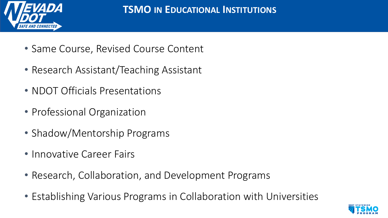

- Same Course, Revised Course Content
- Research Assistant/Teaching Assistant
- NDOT Officials Presentations
- Professional Organization
- Shadow/Mentorship Programs
- Innovative Career Fairs
- Research, Collaboration, and Development Programs
- Establishing Various Programs in Collaboration with Universities

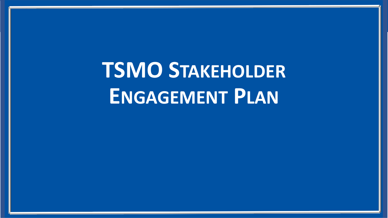**TSMO STAKEHOLDER ENGAGEMENT PLAN**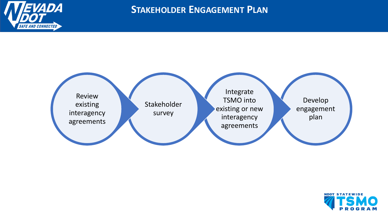

**STAKEHOLDER ENGAGEMENT PLAN**



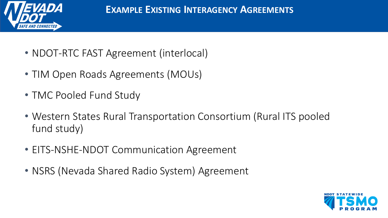

- NDOT-RTC FAST Agreement (interlocal)
- TIM Open Roads Agreements (MOUs)
- TMC Pooled Fund Study
- Western States Rural Transportation Consortium (Rural ITS pooled fund study)
- EITS-NSHE-NDOT Communication Agreement
- NSRS (Nevada Shared Radio System) Agreement

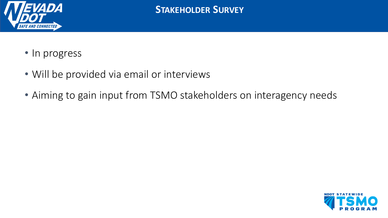

- In progress
- Will be provided via email or interviews
- Aiming to gain input from TSMO stakeholders on interagency needs

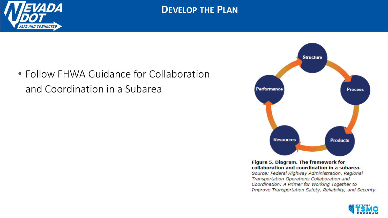

#### **DEVELOP THE PLAN**

• Follow FHWA Guidance for Collaboration and Coordination in a Subarea



Figure 5. Diagram. The framework for collaboration and coordination in a subarea. Source: Federal Highway Administration. Regional Transportation Operations Collaboration and

Coordination: A Primer for Working Together to Improve Transportation Safety, Reliability, and Security.

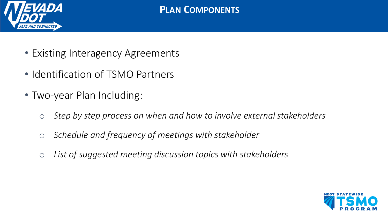

- Existing Interagency Agreements
- Identification of TSMO Partners
- Two-year Plan Including:
	- o *Step by step process on when and how to involve external stakeholders*
	- o *Schedule and frequency of meetings with stakeholder*
	- o *List of suggested meeting discussion topics with stakeholders*

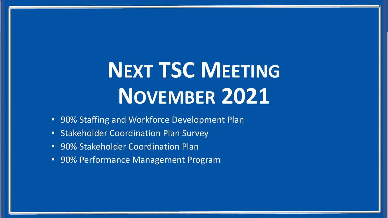# **NEXT TSC MEETING NOVEMBER 2021**

- 90% Staffing and Workforce Development Plan
- Stakeholder Coordination Plan Survey
- 90% Stakeholder Coordination Plan
- 90% Performance Management Program